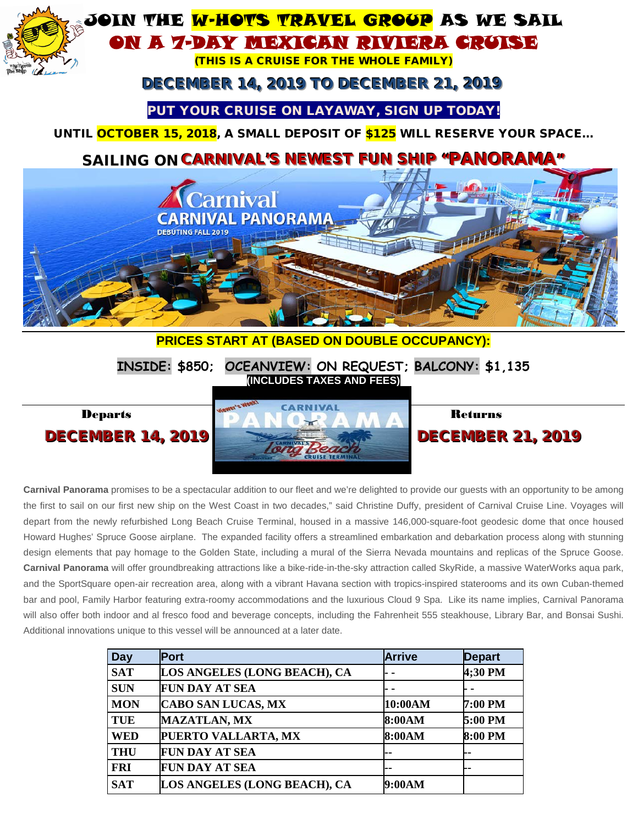

**Carnival Panorama** promises to be a spectacular addition to our fleet and we're delighted to provide our guests with an opportunity to be among the first to sail on our first new ship on the West Coast in two decades," said Christine Duffy, president of Carnival Cruise Line. Voyages will depart from the newly refurbished Long Beach Cruise Terminal, housed in a massive 146,000-square-foot geodesic dome that once housed Howard Hughes' Spruce Goose airplane. The expanded facility offers a streamlined embarkation and debarkation process along with stunning design elements that pay homage to the Golden State, including a mural of the Sierra Nevada mountains and replicas of the Spruce Goose. **Carnival Panorama** will offer groundbreaking attractions like a bike-ride-in-the-sky attraction called SkyRide, a massive WaterWorks aqua park, and the SportSquare open-air recreation area, along with a vibrant Havana section with tropics-inspired staterooms and its own Cuban-themed bar and pool, Family Harbor featuring extra-roomy accommodations and the luxurious Cloud 9 Spa. Like its name implies, Carnival Panorama will also offer both indoor and al fresco food and beverage concepts, including the Fahrenheit 555 steakhouse, Library Bar, and Bonsai Sushi. Additional innovations unique to this vessel will be announced at a later date.

| Day        | <b>Port</b>                  | <b>Arrive</b> | <b>Depart</b> |
|------------|------------------------------|---------------|---------------|
| <b>SAT</b> | LOS ANGELES (LONG BEACH), CA |               | 4;30 PM       |
| <b>SUN</b> | <b>FUN DAY AT SEA</b>        |               |               |
| <b>MON</b> | <b>CABO SAN LUCAS, MX</b>    | 10:00AM       | 7:00 PM       |
| <b>TUE</b> | <b>MAZATLAN, MX</b>          | 8:00AM        | 5:00 PM       |
| <b>WED</b> | PUERTO VALLARTA, MX          | 8:00AM        | 8:00 PM       |
| <b>THU</b> | <b>FUN DAY AT SEA</b>        |               | --            |
| <b>FRI</b> | <b>FUN DAY AT SEA</b>        |               | --            |
| <b>SAT</b> | LOS ANGELES (LONG BEACH), CA | 9:00AM        |               |